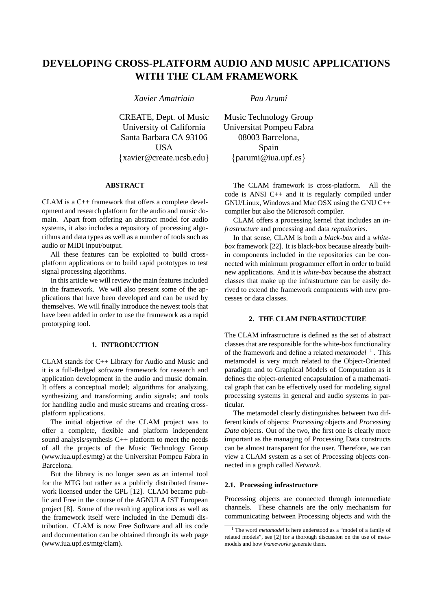# **DEVELOPING CROSS-PLATFORM AUDIO AND MUSIC APPLICATIONS WITH THE CLAM FRAMEWORK**

*Xavier Amatriain Pau Arum´ı*

CREATE, Dept. of Music University of California Santa Barbara CA 93106 **USA** {xavier@create.ucsb.edu}

# **ABSTRACT**

CLAM is a C++ framework that offers a complete development and research platform for the audio and music domain. Apart from offering an abstract model for audio systems, it also includes a repository of processing algorithms and data types as well as a number of tools such as audio or MIDI input/output.

All these features can be exploited to build crossplatform applications or to build rapid prototypes to test signal processing algorithms.

In this article we will review the main features included in the framework. We will also present some of the applications that have been developed and can be used by themselves. We will finally introduce the newest tools that have been added in order to use the framework as a rapid prototyping tool.

## **1. INTRODUCTION**

CLAM stands for C++ Library for Audio and Music and it is a full-fledged software framework for research and application development in the audio and music domain. It offers a conceptual model; algorithms for analyzing, synthesizing and transforming audio signals; and tools for handling audio and music streams and creating crossplatform applications.

The initial objective of the CLAM project was to offer a complete, flexible and platform independent sound analysis/synthesis C++ platform to meet the needs of all the projects of the Music Technology Group (www.iua.upf.es/mtg) at the Universitat Pompeu Fabra in Barcelona.

But the library is no longer seen as an internal tool for the MTG but rather as a publicly distributed framework licensed under the GPL [12]. CLAM became public and Free in the course of the AGNULA IST European project [8]. Some of the resulting applications as well as the framework itself were included in the Demudi distribution. CLAM is now Free Software and all its code and documentation can be obtained through its web page (www.iua.upf.es/mtg/clam).

Music Technology Group Universitat Pompeu Fabra 08003 Barcelona, Spain {parumi@iua.upf.es}

The CLAM framework is cross-platform. All the code is ANSI C++ and it is regularly compiled under GNU/Linux, Windows and Mac OSX using the GNU C++ compiler but also the Microsoft compiler.

CLAM offers a processing kernel that includes an *infrastructure* and processing and data *repositories*.

In that sense, CLAM is both a *black-box* and a *whitebox* framework [22]. It is black-box because already builtin components included in the repositories can be connected with minimum programmer effort in order to build new applications. And it is *white-box* because the abstract classes that make up the infrastructure can be easily derived to extend the framework components with new processes or data classes.

## **2. THE CLAM INFRASTRUCTURE**

The CLAM infrastructure is defined as the set of abstract classes that are responsible for the white-box functionality of the framework and define a related *metamodel* <sup>1</sup>. This metamodel is very much related to the Object-Oriented paradigm and to Graphical Models of Computation as it defines the object-oriented encapsulation of a mathematical graph that can be effectively used for modeling signal processing systems in general and audio systems in particular.

The metamodel clearly distinguishes between two different kinds of objects: *Processing* objects and *Processing Data* objects. Out of the two, the first one is clearly more important as the managing of Processing Data constructs can be almost transparent for the user. Therefore, we can view a CLAM system as a set of Processing objects connected in a graph called *Network*.

#### **2.1. Processing infrastructure**

Processing objects are connected through intermediate channels. These channels are the only mechanism for communicating between Processing objects and with the

<sup>1</sup> The word *metamodel* is here understood as a "model of a family of related models", see [2] for a thorough discussion on the use of metamodels and how *frameworks* generate them.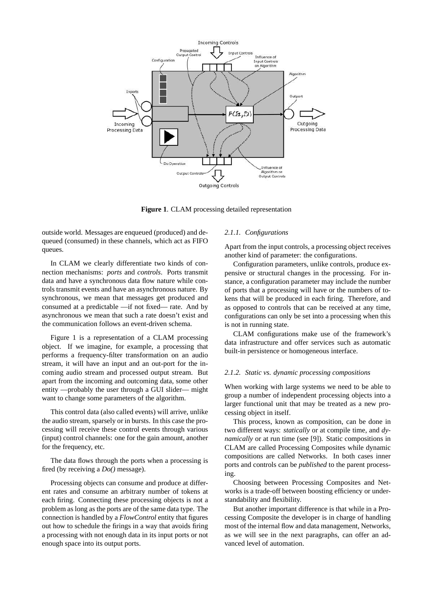

**Figure 1**. CLAM processing detailed representation

outside world. Messages are enqueued (produced) and dequeued (consumed) in these channels, which act as FIFO queues.

In CLAM we clearly differentiate two kinds of connection mechanisms: *ports* and *controls*. Ports transmit data and have a synchronous data flow nature while controls transmit events and have an asynchronous nature. By synchronous, we mean that messages get produced and consumed at a predictable —if not fixed— rate. And by asynchronous we mean that such a rate doesn't exist and the communication follows an event-driven schema.

Figure 1 is a representation of a CLAM processing object. If we imagine, for example, a processing that performs a frequency-filter transformation on an audio stream, it will have an input and an out-port for the incoming audio stream and processed output stream. But apart from the incoming and outcoming data, some other entity —probably the user through a GUI slider— might want to change some parameters of the algorithm.

This control data (also called events) will arrive, unlike the audio stream, sparsely or in bursts. In this case the processing will receive these control events through various (input) control channels: one for the gain amount, another for the frequency, etc.

The data flows through the ports when a processing is fired (by receiving a *Do()* message).

Processing objects can consume and produce at different rates and consume an arbitrary number of tokens at each firing. Connecting these processing objects is not a problem as long as the ports are of the same data type. The connection is handled by a *FlowControl* entity that figures out how to schedule the firings in a way that avoids firing a processing with not enough data in its input ports or not enough space into its output ports.

# *2.1.1. Configurations*

Apart from the input controls, a processing object receives another kind of parameter: the configurations.

Configuration parameters, unlike controls, produce expensive or structural changes in the processing. For instance, a configuration parameter may include the number of ports that a processing will have or the numbers of tokens that will be produced in each firing. Therefore, and as opposed to controls that can be received at any time, configurations can only be set into a processing when this is not in running state.

CLAM configurations make use of the framework's data infrastructure and offer services such as automatic built-in persistence or homogeneous interface.

#### *2.1.2. Static vs. dynamic processing compositions*

When working with large systems we need to be able to group a number of independent processing objects into a larger functional unit that may be treated as a new processing object in itself.

This process, known as composition, can be done in two different ways: *statically* or at compile time, and *dynamically* or at run time (see [9]). Static compositions in CLAM are called Processing Composites while dynamic compositions are called Networks. In both cases inner ports and controls can be *published* to the parent processing.

Choosing between Processing Composites and Networks is a trade-off between boosting efficiency or understandability and flexibility.

But another important difference is that while in a Processing Composite the developer is in charge of handling most of the internal flow and data management, Networks, as we will see in the next paragraphs, can offer an advanced level of automation.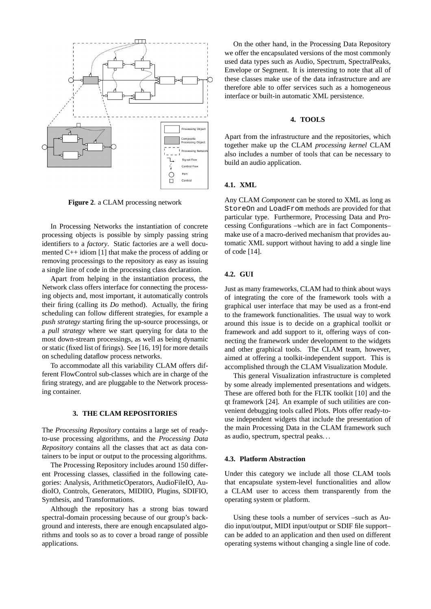

**Figure 2**. a CLAM processing network

In Processing Networks the instantiation of concrete processing objects is possible by simply passing string identifiers to a *factory*. Static factories are a well documented C++ idiom [1] that make the process of adding or removing processings to the repository as easy as issuing a single line of code in the processing class declaration.

Apart from helping in the instantiation process, the Network class offers interface for connecting the processing objects and, most important, it automatically controls their firing (calling its *Do* method). Actually, the firing scheduling can follow different strategies, for example a *push strategy* starting firing the up-source processings, or a *pull strategy* where we start querying for data to the most down-stream processings, as well as being dynamic or static (fixed list of firings). See [16, 19] for more details on scheduling dataflow process networks.

To accommodate all this variability CLAM offers different FlowControl sub-classes which are in charge of the firing strategy, and are pluggable to the Network processing container.

#### **3. THE CLAM REPOSITORIES**

The *Processing Repository* contains a large set of readyto-use processing algorithms, and the *Processing Data Repository* contains all the classes that act as data containers to be input or output to the processing algorithms.

The Processing Repository includes around 150 different Processing classes, classified in the following categories: Analysis, ArithmeticOperators, AudioFileIO, AudioIO, Controls, Generators, MIDIIO, Plugins, SDIFIO, Synthesis, and Transformations.

Although the repository has a strong bias toward spectral-domain processing because of our group's background and interests, there are enough encapsulated algorithms and tools so as to cover a broad range of possible applications.

On the other hand, in the Processing Data Repository we offer the encapsulated versions of the most commonly used data types such as Audio, Spectrum, SpectralPeaks, Envelope or Segment. It is interesting to note that all of these classes make use of the data infrastructure and are therefore able to offer services such as a homogeneous interface or built-in automatic XML persistence.

#### **4. TOOLS**

Apart from the infrastructure and the repositories, which together make up the CLAM *processing kernel* CLAM also includes a number of tools that can be necessary to build an audio application.

## **4.1. XML**

Any CLAM *Component* can be stored to XML as long as StoreOn and LoadFrom methods are provided for that particular type. Furthermore, Processing Data and Processing Configurations –which are in fact Components– make use of a macro-derived mechanism that provides automatic XML support without having to add a single line of code [14].

# **4.2. GUI**

Just as many frameworks, CLAM had to think about ways of integrating the core of the framework tools with a graphical user interface that may be used as a front-end to the framework functionalities. The usual way to work around this issue is to decide on a graphical toolkit or framework and add support to it, offering ways of connecting the framework under development to the widgets and other graphical tools. The CLAM team, however, aimed at offering a toolkit-independent support. This is accomplished through the CLAM Visualization Module.

This general Visualization infrastructure is completed by some already implemented presentations and widgets. These are offered both for the FLTK toolkit [10] and the qt framework [24]. An example of such utilities are convenient debugging tools called Plots. Plots offer ready-touse independent widgets that include the presentation of the main Processing Data in the CLAM framework such as audio, spectrum, spectral peaks. . .

#### **4.3. Platform Abstraction**

Under this category we include all those CLAM tools that encapsulate system-level functionalities and allow a CLAM user to access them transparently from the operating system or platform.

Using these tools a number of services –such as Audio input/output, MIDI input/output or SDIF file support– can be added to an application and then used on different operating systems without changing a single line of code.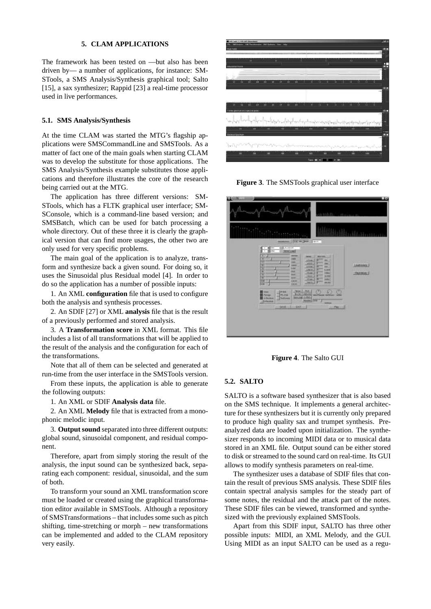# **5. CLAM APPLICATIONS**

The framework has been tested on —but also has been driven by— a number of applications, for instance: SM-STools, a SMS Analysis/Synthesis graphical tool; Salto [15], a sax synthesizer; Rappid [23] a real-time processor used in live performances.

#### **5.1. SMS Analysis/Synthesis**

At the time CLAM was started the MTG's flagship applications were SMSCommandLine and SMSTools. As a matter of fact one of the main goals when starting CLAM was to develop the substitute for those applications. The SMS Analysis/Synthesis example substitutes those applications and therefore illustrates the core of the research being carried out at the MTG.

The application has three different versions: SM-STools, which has a FLTK graphical user interface; SM-SConsole, which is a command-line based version; and SMSBatch, which can be used for batch processing a whole directory. Out of these three it is clearly the graphical version that can find more usages, the other two are only used for very specific problems.

The main goal of the application is to analyze, transform and synthesize back a given sound. For doing so, it uses the Sinusoidal plus Residual model [4]. In order to do so the application has a number of possible inputs:

1. An XML **configuration** file that is used to configure both the analysis and synthesis processes.

2. An SDIF [27] or XML **analysis** file that is the result of a previously performed and stored analysis.

3. A **Transformation score** in XML format. This file includes a list of all transformations that will be applied to the result of the analysis and the configuration for each of the transformations.

Note that all of them can be selected and generated at run-time from the user interface in the SMSTools version.

From these inputs, the application is able to generate the following outputs:

1. An XML or SDIF **Analysis data** file.

2. An XML **Melody** file that is extracted from a monophonic melodic input.

3. **Output sound** separated into three different outputs: global sound, sinusoidal component, and residual component.

Therefore, apart from simply storing the result of the analysis, the input sound can be synthesized back, separating each component: residual, sinusoidal, and the sum of both.

To transform your sound an XML transformation score must be loaded or created using the graphical transformation editor available in SMSTools. Although a repository of SMSTransformations – that includes some such as pitch shifting, time-stretching or morph – new transformations can be implemented and added to the CLAM repository very easily.



**Figure 3**. The SMSTools graphical user interface



**Figure 4**. The Salto GUI

#### **5.2. SALTO**

SALTO is a software based synthesizer that is also based on the SMS technique. It implements a general architecture for these synthesizers but it is currently only prepared to produce high quality sax and trumpet synthesis. Preanalyzed data are loaded upon initialization. The synthesizer responds to incoming MIDI data or to musical data stored in an XML file. Output sound can be either stored to disk or streamed to the sound card on real-time. Its GUI allows to modify synthesis parameters on real-time.

The synthesizer uses a database of SDIF files that contain the result of previous SMS analysis. These SDIF files contain spectral analysis samples for the steady part of some notes, the residual and the attack part of the notes. These SDIF files can be viewed, transformed and synthesized with the previously explained SMSTools.

Apart from this SDIF input, SALTO has three other possible inputs: MIDI, an XML Melody, and the GUI. Using MIDI as an input SALTO can be used as a regu-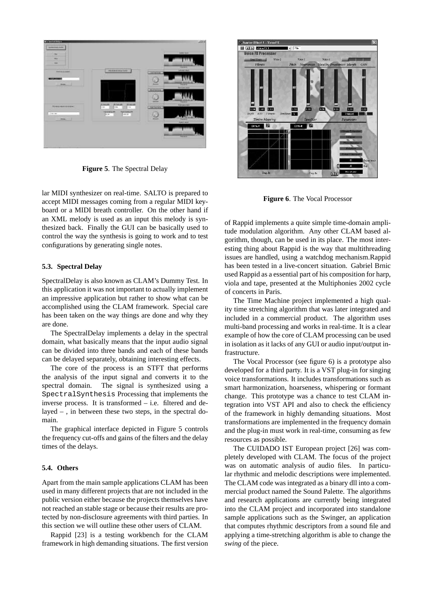

**Figure 5**. The Spectral Delay

lar MIDI synthesizer on real-time. SALTO is prepared to accept MIDI messages coming from a regular MIDI keyboard or a MIDI breath controller. On the other hand if an XML melody is used as an input this melody is synthesized back. Finally the GUI can be basically used to control the way the synthesis is going to work and to test configurations by generating single notes.

#### **5.3. Spectral Delay**

SpectralDelay is also known as CLAM's Dummy Test. In this application it was not important to actually implement an impressive application but rather to show what can be accomplished using the CLAM framework. Special care has been taken on the way things are done and why they are done.

The SpectralDelay implements a delay in the spectral domain, what basically means that the input audio signal can be divided into three bands and each of these bands can be delayed separately, obtaining interesting effects.

The core of the process is an STFT that performs the analysis of the input signal and converts it to the spectral domain. The signal is synthesized using a SpectralSynthesis Processing that implements the inverse process. It is transformed – i.e. filtered and delayed – , in between these two steps, in the spectral domain.

The graphical interface depicted in Figure 5 controls the frequency cut-offs and gains of the filters and the delay times of the delays.

#### **5.4. Others**

Apart from the main sample applications CLAM has been used in many different projects that are not included in the public version either because the projects themselves have not reached an stable stage or because their results are protected by non-disclosure agreements with third parties. In this section we will outline these other users of CLAM.

Rappid [23] is a testing workbench for the CLAM framework in high demanding situations. The first version



**Figure 6**. The Vocal Processor

of Rappid implements a quite simple time-domain amplitude modulation algorithm. Any other CLAM based algorithm, though, can be used in its place. The most interesting thing about Rappid is the way that multithreading issues are handled, using a watchdog mechanism.Rappid has been tested in a live-concert situation. Gabriel Brnic used Rappid as a essential part of his composition for harp, viola and tape, presented at the Multiphonies 2002 cycle of concerts in Paris.

The Time Machine project implemented a high quality time stretching algorithm that was later integrated and included in a commercial product. The algorithm uses multi-band processing and works in real-time. It is a clear example of how the core of CLAM processing can be used in isolation as it lacks of any GUI or audio input/output infrastructure.

The Vocal Processor (see figure 6) is a prototype also developed for a third party. It is a VST plug-in for singing voice transformations. It includes transformations such as smart harmonization, hoarseness, whispering or formant change. This prototype was a chance to test CLAM integration into VST API and also to check the efficiency of the framework in highly demanding situations. Most transformations are implemented in the frequency domain and the plug-in must work in real-time, consuming as few resources as possible.

The CUIDADO IST European project [26] was completely developed with CLAM. The focus of the project was on automatic analysis of audio files. In particular rhythmic and melodic descriptions were implemented. The CLAM code was integrated as a binary dll into a commercial product named the Sound Palette. The algorithms and research applications are currently being integrated into the CLAM project and incorporated into standalone sample applications such as the Swinger, an application that computes rhythmic descriptors from a sound file and applying a time-stretching algorithm is able to change the *swing* of the piece.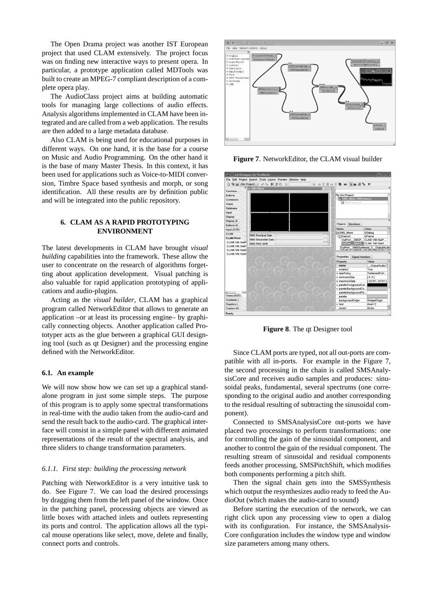The Open Drama project was another IST European project that used CLAM extensively. The project focus was on finding new interactive ways to present opera. In particular, a prototype application called MDTools was built to create an MPEG-7 compliant description of a complete opera play.

The AudioClass project aims at building automatic tools for managing large collections of audio effects. Analysis algorithms implemented in CLAM have been integrated and are called from a web application. The results are then added to a large metadata database.

Also CLAM is being used for educational purposes in different ways. On one hand, it is the base for a course on Music and Audio Programming. On the other hand it is the base of many Master Thesis. In this context, it has been used for applications such as Voice-to-MIDI conversion, Timbre Space based synthesis and morph, or song identification. All these results are by definition public and will be integrated into the public repository.

# **6. CLAM AS A RAPID PROTOTYPING ENVIRONMENT**

The latest developments in CLAM have brought *visual building* capabilities into the framework. These allow the user to concentrate on the research of algorithms forgetting about application development. Visual patching is also valuable for rapid application prototyping of applications and audio-plugins.

Acting as the *visual builder*, CLAM has a graphical program called NetworkEditor that allows to generate an application –or at least its processing engine– by graphically connecting objects. Another application called Prototyper acts as the glue between a graphical GUI designing tool (such as qt Designer) and the processing engine defined with the NetworkEditor.

### **6.1. An example**

We will now show how we can set up a graphical standalone program in just some simple steps. The purpose of this program is to apply some spectral transformations in real-time with the audio taken from the audio-card and send the result back to the audio-card. The graphical interface will consist in a simple panel with different animated representations of the result of the spectral analysis, and three sliders to change transformation parameters.

#### *6.1.1. First step: building the processing network*

Patching with NetworkEditor is a very intuitive task to do. See Figure 7. We can load the desired processings by dragging them from the left panel of the window. Once in the patching panel, processing objects are viewed as little boxes with attached inlets and outlets representing its ports and control. The application allows all the typical mouse operations like select, move, delete and finally, connect ports and controls.



**Figure 7**. NetworkEditor, the CLAM visual builder



**Figure 8**. The qt Designer tool

Since CLAM ports are typed, not all out-ports are compatible with all in-ports. For example in the Figure 7, the second processing in the chain is called SMSAnalysisCore and receives audio samples and produces: sinusoidal peaks, fundamental, several spectrums (one corresponding to the original audio and another corresponding to the residual resulting of subtracting the sinusoidal component).

Connected to SMSAnalysisCore out-ports we have placed two processings to perform transformations: one for controlling the gain of the sinusoidal component, and another to control the gain of the residual component. The resulting stream of sinusoidal and residual components feeds another processing, SMSPitchShift, which modifies both components performing a pitch shift.

Then the signal chain gets into the SMSSynthesis which output the resynthesizes audio ready to feed the AudioOut (which makes the audio-card to sound)

Before starting the execution of the network, we can right click upon any processing view to open a dialog with its configuration. For instance, the SMSAnalysis-Core configuration includes the window type and window size parameters among many others.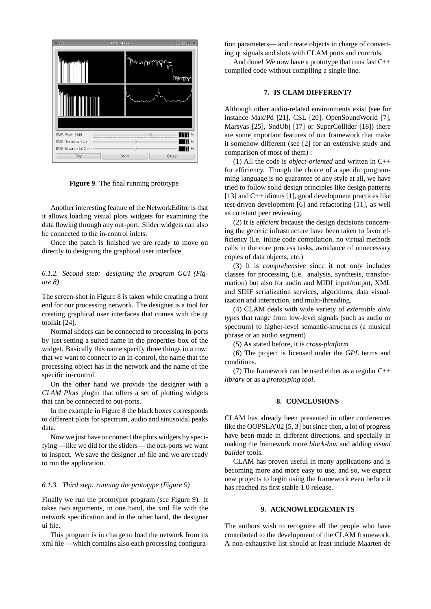

**Figure 9**. The final running prototype

Another interesting feature of the NetworkEditor is that it allows loading visual plots widgets for examining the data flowing through any out-port. Slider widgets can also be connected to the in-control inlets.

Once the patch is finished we are ready to move on directly to designing the graphical user interface.

# *6.1.2. Second step: designing the program GUI (Figure 8)*

The screen-shot in Figure 8 is taken while creating a front end for our processing network. The designer is a tool for creating graphical user interfaces that comes with the qt toolkit [24].

Normal sliders can be connected to processing in-ports by just setting a suited name in the properties box of the widget. Basically this name specify three things in a row: that we want to connect to an in-control, the name that the processing object has in the network and the name of the specific in-control.

On the other hand we provide the designer with a *CLAM Plots* plugin that offers a set of plotting widgets that can be connected to out-ports.

In the example in Figure 8 the black boxes corresponds to different plots for spectrum, audio and sinusoidal peaks data.

Now we just have to connect the plots widgets by specifying —like we did for the sliders— the out-ports we want to inspect. We save the designer *.ui* file and we are ready to run the application.

#### *6.1.3. Third step: running the prototype (Figure 9)*

Finally we run the prototyper program (see Figure 9). It takes two arguments, in one hand, the xml file with the network specification and in the other hand, the designer ui file.

This program is in charge to load the network from its xml file —which contains also each processing configuration parameters— and create objects in charge of converting qt signals and slots with CLAM ports and controls.

And done! We now have a prototype that runs fast C++ compiled code without compiling a single line.

# **7. IS CLAM DIFFERENT?**

Although other audio-related environments exist (see for instance Max/Pd [21], CSL [20], OpenSoundWorld [7], Marsyas [25], SndObj [17] or SuperCollider [18]) there are some important features of our framework that make it somehow different (see [2] for an extensive study and comparison of most of them) :

(1) All the code is *object-oriented* and written in C++ for efficiency. Though the choice of a specific programming language is no guarantee of any style at all, we have tried to follow solid design principles like design patterns [13] and C++ idioms [1], good development practices like test-driven development [6] and refactoring [11], as well as constant peer reviewing.

(2) It is *efficient* because the design decisions concerning the generic infrastructure have been taken to favor efficiency (i.e. inline code compilation, no virtual methods calls in the core process tasks, avoidance of unnecessary copies of data objects, etc.)

(3) It is *comprehensive* since it not only includes classes for processing (i.e. analysis, synthesis, transformation) but also for audio and MIDI input/output, XML and SDIF serialization services, algorithms, data visualization and interaction, and multi-threading.

(4) CLAM deals with wide variety of *extensible data types* that range from low-level signals (such as audio or spectrum) to higher-level semantic-structures (a musical phrase or an audio segment)

(5) As stated before, it is *cross-platform*

(6) The project is licensed under the *GPL* terms and conditions.

(7) The framework can be used either as a regular C++ *library* or as a *prototyping tool*.

# **8. CONCLUSIONS**

CLAM has already been presented in other conferences like the OOPSLA'02 [5, 3] but since then, a lot of progress have been made in different directions, and specially in making the framework more *black-box* and adding *visual builder* tools.

CLAM has proven useful in many applications and is becoming more and more easy to use, and so, we expect new projects to begin using the framework even before it has reached its first stable 1.0 release.

## **9. ACKNOWLEDGEMENTS**

The authors wish to recognize all the people who have contributed to the development of the CLAM framework. A non-exhaustive list should at least include Maarten de